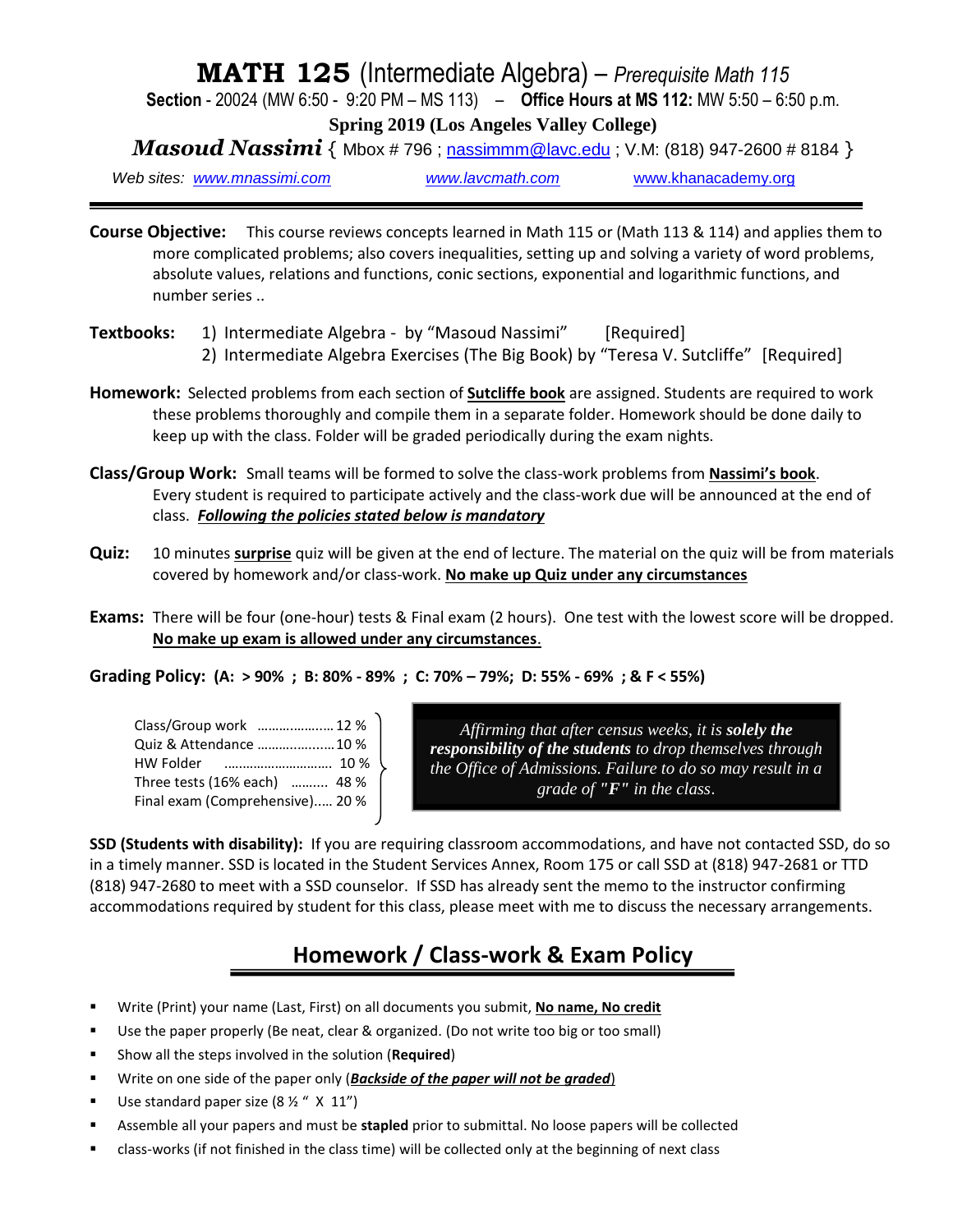### **MATH 125** (Intermediate Algebra) – *Prerequisite Math 115*

**Section** - 20024 (MW 6:50 - 9:20 PM – MS 113) – **Office Hours at MS 112:** MW 5:50 – 6:50 p.m.

**Spring 2019 (Los Angeles Valley College)**

*Masoud Nassimi* { Mbox # 796 ; [nassimmm@lavc.edu](mailto:nassimmm@lavc.edu) ; V.M: (818) 947-2600 # 8184 }

*Web sites: [www.mnassimi.com](http://www.mnassimi.com/) [www.lavcmath.com](http://www.lavcmath.com/)* [www.khanacademy.org](http://www.khanacademy.org/)

**Course Objective:** This course reviews concepts learned in Math 115 or (Math 113 & 114) and applies them to more complicated problems; also covers inequalities, setting up and solving a variety of word problems, absolute values, relations and functions, conic sections, exponential and logarithmic functions, and number series ..

- Textbooks: 1) Intermediate Algebra by "Masoud Nassimi" [Required] 2) Intermediate Algebra Exercises (The Big Book) by "Teresa V. Sutcliffe" [Required]
- **Homework:** Selected problems from each section of **Sutcliffe book** are assigned. Students are required to work these problems thoroughly and compile them in a separate folder. Homework should be done daily to keep up with the class. Folder will be graded periodically during the exam nights.
- **Class/Group Work:** Small teams will be formed to solve the class-work problems from **Nassimi's book**. Every student is required to participate actively and the class-work due will be announced at the end of class. *Following the policies stated below is mandatory*
- **Quiz:** 10 minutes **surprise** quiz will be given at the end of lecture. The material on the quiz will be from materials covered by homework and/or class-work. **No make up Quiz under any circumstances**
- **Exams:** There will be four (one-hour) tests & Final exam (2 hours). One test with the lowest score will be dropped. **No make up exam is allowed under any circumstances**.
- **Grading Policy: (A: > 90% ; B: 80% - 89% ; C: 70% – 79%; D: 55% - 69% ; & F < 55%)**

| Class/Group work  12 %          |  |
|---------------------------------|--|
| Quiz & Attendance  10 %         |  |
|                                 |  |
| Three tests (16% each)  48 %    |  |
| Final exam (Comprehensive) 20 % |  |

*Affirming that after census weeks, it is solely the responsibility of the students to drop themselves through the Office of Admissions. Failure to do so may result in a grade of "F" in the class*.

**SSD (Students with disability):** If you are requiring classroom accommodations, and have not contacted SSD, do so in a timely manner. SSD is located in the Student Services Annex, Room 175 or call SSD at (818) 947-2681 or TTD (818) 947-2680 to meet with a SSD counselor. If SSD has already sent the memo to the instructor confirming accommodations required by student for this class, please meet with me to discuss the necessary arrangements.

### **Homework / Class-work & Exam Policy**

- Write (Print) your name (Last, First) on all documents you submit, **No name, No credit**
- Use the paper properly (Be neat, clear & organized. (Do not write too big or too small)
- Show all the steps involved in the solution (**Required**)
- **EXECT** Write on one side of the paper only (**Backside of the paper will not be graded**)
- Use standard paper size  $(8 \frac{1}{2} \times 11 \times 11)^{1}$
- **EXECT** Assemble all your papers and must be **stapled** prior to submittal. No loose papers will be collected
- class-works (if not finished in the class time) will be collected only at the beginning of next class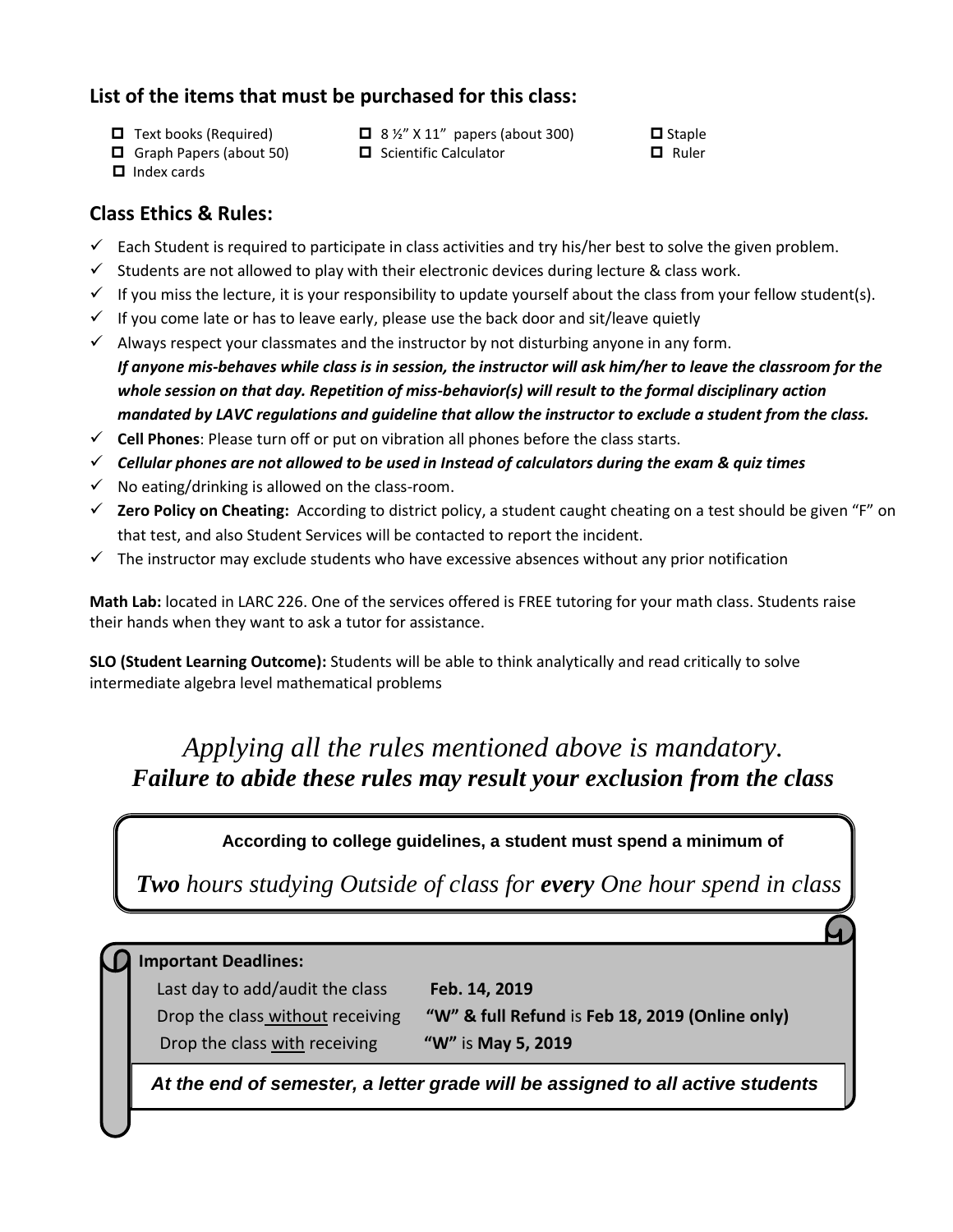### **List of the items that must be purchased for this class:**

- $\Box$  Text books (Required)  $\Box$  8 ½" X 11" papers (about 300)  $\Box$  Staple
- $\Box$  Graph Papers (about 50)  $\Box$  Scientific Calculator  $\Box$  Ruler
- -

 $\Box$  Index cards

#### **Class Ethics & Rules:**

- $\checkmark$  Each Student is required to participate in class activities and try his/her best to solve the given problem.
- $\checkmark$  Students are not allowed to play with their electronic devices during lecture & class work.
- $\checkmark$  If you miss the lecture, it is your responsibility to update yourself about the class from your fellow student(s).
- $\checkmark$  If you come late or has to leave early, please use the back door and sit/leave quietly
- $\checkmark$  Always respect your classmates and the instructor by not disturbing anyone in any form. *If anyone mis-behaves while class is in session, the instructor will ask him/her to leave the classroom for the whole session on that day. Repetition of miss-behavior(s) will result to the formal disciplinary action mandated by LAVC regulations and guideline that allow the instructor to exclude a student from the class.*
- ✓ **Cell Phones**: Please turn off or put on vibration all phones before the class starts.
- ✓ *Cellular phones are not allowed to be used in Instead of calculators during the exam & quiz times*
- $\checkmark$  No eating/drinking is allowed on the class-room.
- ✓ **Zero Policy on Cheating:** According to district policy, a student caught cheating on a test should be given "F" on that test, and also Student Services will be contacted to report the incident.
- $\checkmark$  The instructor may exclude students who have excessive absences without any prior notification

**Math Lab:** located in LARC 226. One of the services offered is FREE tutoring for your math class. Students raise their hands when they want to ask a tutor for assistance.

**SLO (Student Learning Outcome):** Students will be able to think analytically and read critically to solve intermediate algebra level mathematical problems

### *Applying all the rules mentioned above is mandatory. Failure to abide these rules may result your exclusion from the class*

#### **According to college guidelines, a student must spend a minimum of**

*Two hours studying Outside of class for every One hour spend in class*

#### **Important Deadlines:**

Last day to add/audit the class **Feb. 14, 2019** Drop the class without receiving **"W" & full Refund** is **Feb 18, 2019 (Online only)** Drop the class with receiving **"W"** is **May 5, 2019**

*At the end of semester, a letter grade will be assigned to all active students*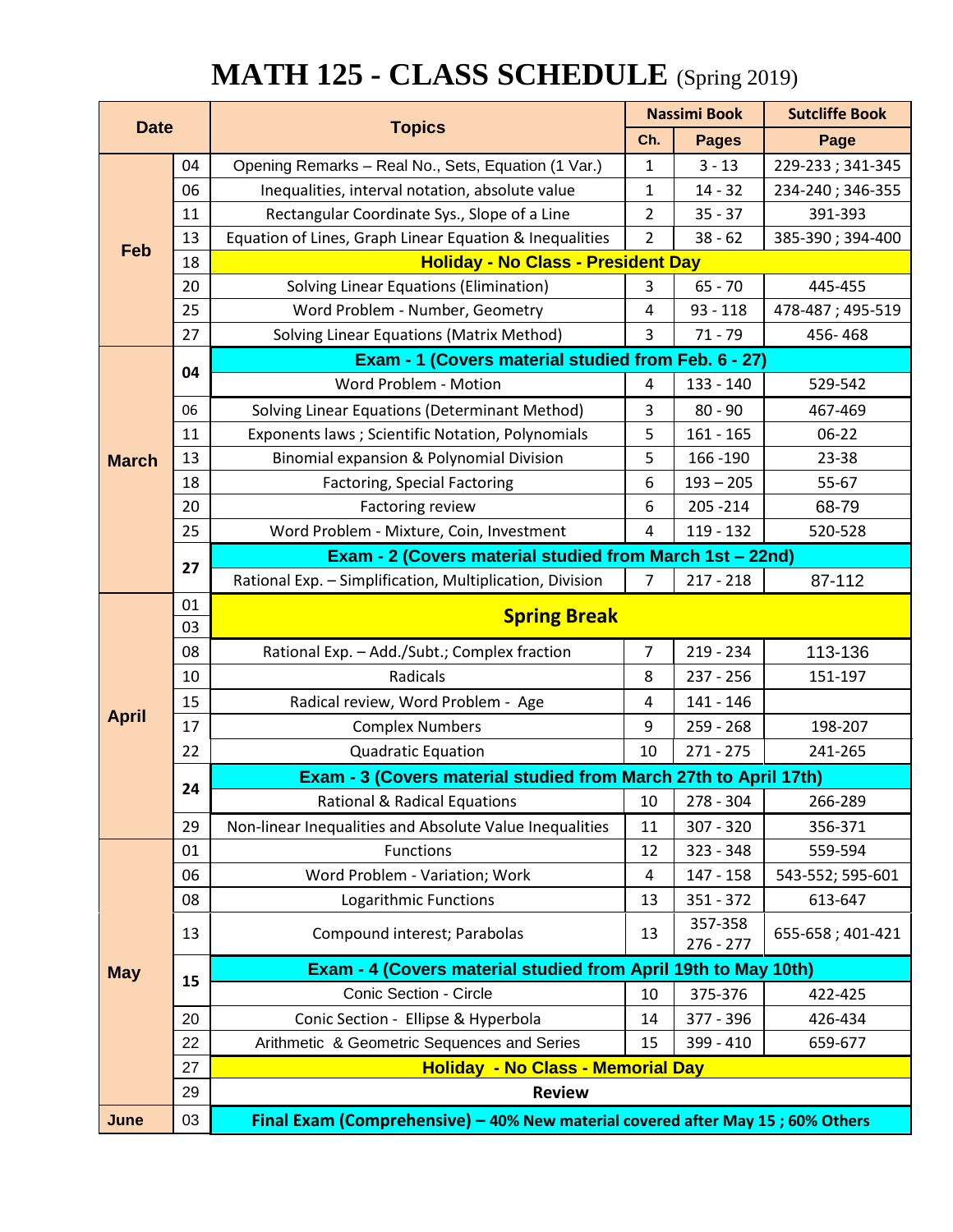# **MATH 125 - CLASS SCHEDULE** (Spring 2019)

| <b>Date</b>  |    | <b>Topics</b>                                                                  | <b>Nassimi Book</b>                                 |                        | <b>Sutcliffe Book</b> |  |
|--------------|----|--------------------------------------------------------------------------------|-----------------------------------------------------|------------------------|-----------------------|--|
|              |    |                                                                                | Ch.                                                 | <b>Pages</b>           | Page                  |  |
|              | 04 | Opening Remarks - Real No., Sets, Equation (1 Var.)                            | 1                                                   | $3 - 13$               | 229-233; 341-345      |  |
|              | 06 | Inequalities, interval notation, absolute value                                | 1                                                   | $14 - 32$              | 234-240; 346-355      |  |
|              | 11 | Rectangular Coordinate Sys., Slope of a Line                                   |                                                     | $35 - 37$              | 391-393               |  |
| Feb          | 13 | Equation of Lines, Graph Linear Equation & Inequalities                        | $\overline{2}$                                      | $38 - 62$              | 385-390; 394-400      |  |
|              | 18 | <b>Holiday - No Class - President Day</b>                                      |                                                     |                        |                       |  |
|              | 20 | <b>Solving Linear Equations (Elimination)</b>                                  | 3                                                   | $65 - 70$              | 445-455               |  |
|              | 25 | Word Problem - Number, Geometry<br>$\overline{4}$                              |                                                     | $93 - 118$             | 478-487; 495-519      |  |
|              | 27 | Solving Linear Equations (Matrix Method)                                       | $\overline{3}$                                      | $71 - 79$              | 456-468               |  |
|              | 04 |                                                                                | Exam - 1 (Covers material studied from Feb. 6 - 27) |                        |                       |  |
|              |    | Word Problem - Motion                                                          | 4                                                   | 133 - 140              | 529-542               |  |
|              | 06 | Solving Linear Equations (Determinant Method)                                  | 3                                                   | $80 - 90$              | 467-469               |  |
|              | 11 | Exponents laws ; Scientific Notation, Polynomials                              | 5                                                   | $161 - 165$            | 06-22                 |  |
| <b>March</b> | 13 | Binomial expansion & Polynomial Division                                       | 5                                                   | 166 - 190              | 23-38                 |  |
|              | 18 | <b>Factoring, Special Factoring</b>                                            | 6                                                   | $193 - 205$            | 55-67                 |  |
|              | 20 | Factoring review                                                               | 6                                                   | 205 - 214              | 68-79                 |  |
|              | 25 | Word Problem - Mixture, Coin, Investment                                       | 4                                                   | 119 - 132              | 520-528               |  |
|              | 27 | Exam - 2 (Covers material studied from March 1st - 22nd)                       |                                                     |                        |                       |  |
|              |    | Rational Exp. - Simplification, Multiplication, Division                       | $\overline{7}$                                      | $217 - 218$            | 87-112                |  |
|              | 01 |                                                                                |                                                     |                        |                       |  |
|              | 03 | <b>Spring Break</b>                                                            |                                                     |                        |                       |  |
|              | 08 | Rational Exp. - Add./Subt.; Complex fraction                                   | $\overline{7}$                                      | 219 - 234              | 113-136               |  |
|              | 10 | Radicals                                                                       | 8                                                   | $237 - 256$            | 151-197               |  |
|              | 15 | Radical review, Word Problem - Age                                             | 4                                                   | 141 - 146              |                       |  |
| <b>April</b> | 17 | <b>Complex Numbers</b>                                                         | 9                                                   | $259 - 268$            | 198-207               |  |
|              | 22 | <b>Quadratic Equation</b>                                                      | 10                                                  | $271 - 275$            | 241-265               |  |
|              | 24 | Exam - 3 (Covers material studied from March 27th to April 17th)               |                                                     |                        |                       |  |
|              |    | Rational & Radical Equations                                                   | 10                                                  | 278 - 304              | 266-289               |  |
|              | 29 | Non-linear Inequalities and Absolute Value Inequalities                        | 11                                                  | 307 - 320              | 356-371               |  |
|              | 01 | Functions                                                                      | 12                                                  | 323 - 348              | 559-594               |  |
|              | 06 | Word Problem - Variation; Work                                                 | 4                                                   | 147 - 158              | 543-552; 595-601      |  |
|              | 08 | Logarithmic Functions                                                          | 13                                                  | 351 - 372              | 613-647               |  |
|              | 13 | Compound interest; Parabolas                                                   | 13                                                  | 357-358<br>$276 - 277$ | 655-658; 401-421      |  |
| <b>May</b>   |    | Exam - 4 (Covers material studied from April 19th to May 10th)                 |                                                     |                        |                       |  |
|              | 15 | Conic Section - Circle                                                         | 10                                                  | 375-376                | 422-425               |  |
|              | 20 | Conic Section - Ellipse & Hyperbola                                            | 14                                                  | 377 - 396              | 426-434               |  |
|              | 22 | Arithmetic & Geometric Sequences and Series                                    | 15                                                  | 399 - 410              | 659-677               |  |
|              | 27 | <b>Holiday - No Class - Memorial Day</b>                                       |                                                     |                        |                       |  |
|              | 29 | <b>Review</b>                                                                  |                                                     |                        |                       |  |
| June         | 03 | Final Exam (Comprehensive) - 40% New material covered after May 15; 60% Others |                                                     |                        |                       |  |